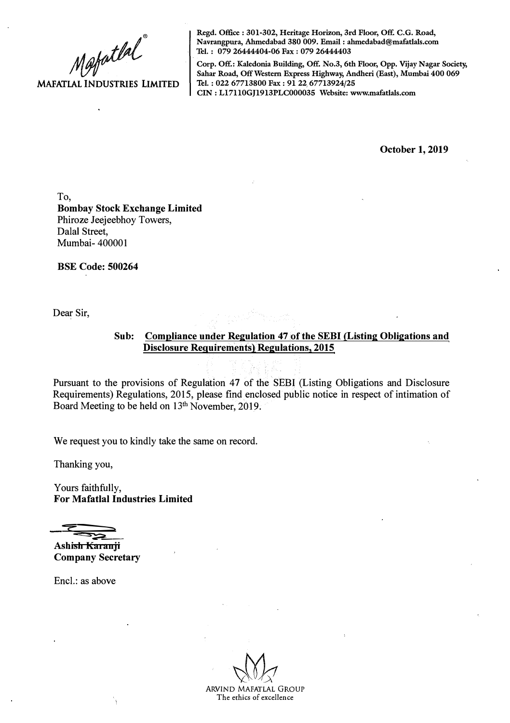Mafatlal

**MAFATLAL INDUSTRIES LIMITED** 

**Regd. Office : 301-302, Heritage Horizon, 3rd Floor, Off. C.G. Road, Navrangpura, Ahmedabad 380 009. Email : ahmedabad@mafatlals.com Tel. : 079 26444404-06 Fax : 079 26444403** 

**Corp. Off.: Kaledonia Building, Off. No.3, 6th Floor, Opp. Vijay Nagar Society, Sahar Road, Off Western Express Highway, Andheri (East), Mumbai 400 069 Tel. : 022 67713800 Fax : 91 22 67713924/25 CIN : Ll7110GJ1913PLC000035 Website: www.mafatlals.com** 

**October 1, 2019** 

To, **Bombay Stock Exchange Limited**  Phiroze Jeejeebhoy Towers, Dalal Street, Mumbai- 400001

**BSE Code: 500264** 

Dear Sir,

## Sub: Compliance under Regulation 47 of the SEBI (Listing Obligations and **Disclosure Requirements) Regulations, 2015**

Pursuant to the provisions of Regulation 47 of the SEBI (Listing Obligations and Disclosure Requirements) Regulations, 2015, please find enclosed public notice in respect of intimation of Board Meeting to be held on 13<sup>th</sup> November, 2019.

We request you to kindly take the same on record.

Thanking you,

Yours faithfully, **For Mafatlal Industries Limited** 

"""?--� �-=-

**Ashish Karanji Company Secretary** 

Encl.: as above

ARVIND MAFATLAL GROUP

The ethics of excellence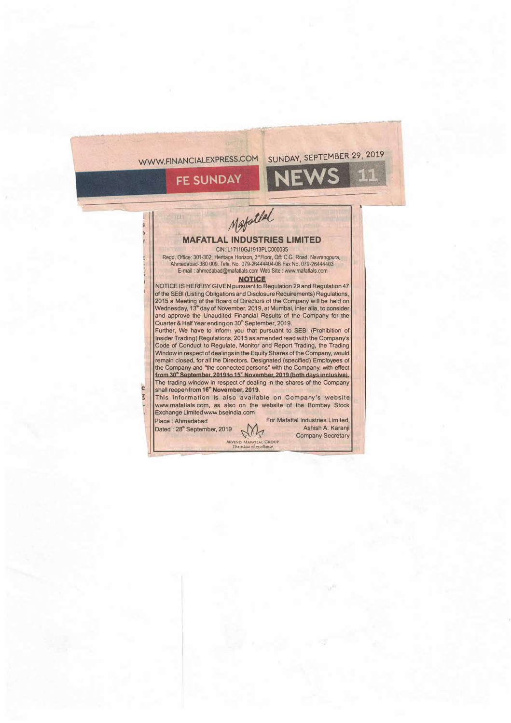WWW.FINANCIALEXPRESS.COM SUNDAY, SEPTEMBER 29, 2019

NE

**FE SUNDAY** 

Mapatlel

## **MAFATLAL INDUSTRIES LIMITED**  CIN: L17110GJ1913PLC000035

Regd. Office: 301-302, Heritage Honzon, 3"Floor, Off: C.G. Road, Navrangpura, Ahmedabad-380 009. Tele. No. 079-26444404-06 Fax No. 079-26444403 E-mail : ahmedabad@mafattals.com Web Site : www mafattals.com

## **NOTICE**

NOTICE IS HEREBY GIVEN pursuant to Regulation 29 and Regulation 47 of the SEBI (Listing Obligations and Disclosure Requirements) Regulations, 2015 a Meeting of the Board of Directors of the Company will be held on Wednesday, 13<sup>th</sup> day of November, 2019, at Mumbai, inter alia, to consider and approve **the** Unaudited Financial Results of **the** Company for **the**  Quarter & Half Year ending on 30" September, 2019.

Further, We have to inform you that pursuant to SEBI (Prohibition of Insider Trading) Regulations, 2015 as amended read with **the** Company's Code of Conduct to Regulate, Monitor and Report Trading, the Trading Window in respect of dealings in the Equity Shares of the Company, would remain closed, for all the Directors, Designated (specified) Employees of the Company and "the connected persons" with the Company, with effect from 30<sup>th</sup> September, 2019 to 15<sup>th</sup> November, 2019 (both days inclusive). The trading window in respect of dealing in the shares of the Company e shall reopen from 16<sup>th</sup> November, 2019.

This information is also available on Company's website www.mafatlals.com, as also on the website of the Bombay Stock Exchange Limited www.bseindia.com

**ARVIND MAFATLAL GROUP**<br>The ethics of excellence

Place : Ahmedabad For Mafattal Industries Limited,<br>Dated : 28" September. 2019 N Dated: 28" September, 2019 **M** Ashish A. Karanji Company Secretary